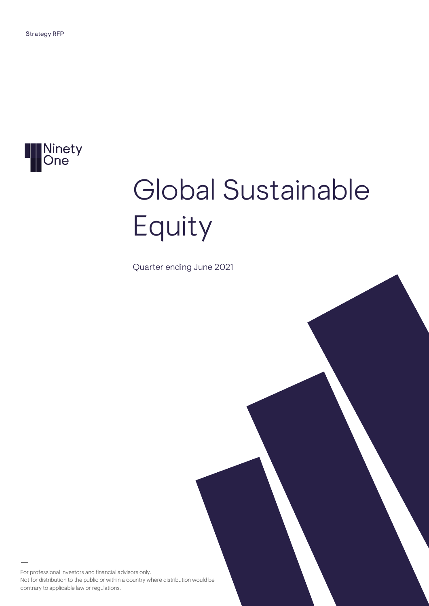

# Global Sustainable Equity

Quarter ending June 2021

For professional investors and financial advisors only. Not for distribution to the public or within a country where distribution would be contrary to applicable law or regulations.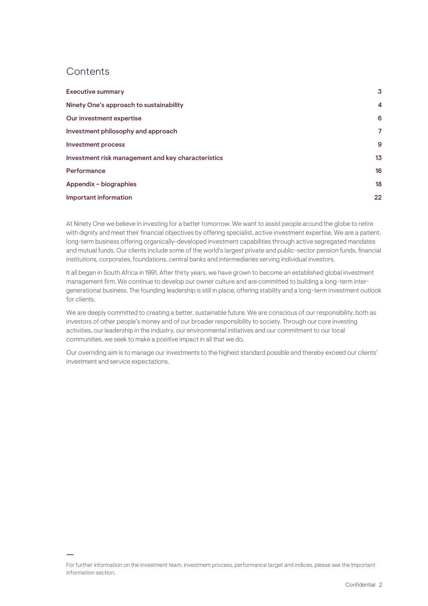## **Contents**

| <b>Executive summary</b>                           | 3               |
|----------------------------------------------------|-----------------|
| Ninety One's approach to sustainability            | 4               |
| Our investment expertise                           | 6               |
| Investment philosophy and approach                 | 7               |
| <b>Investment process</b>                          | 9               |
| Investment risk management and key characteristics | 13 <sub>1</sub> |
| Performance                                        | 16              |
| Appendix - biographies                             | 18              |
| Important information                              | 22              |

At Ninety One we believe in investing for a better tomorrow. We want to assist people around the globe to retire with dignity and meet their financial objectives by offering specialist, active investment expertise. We are a patient, long-term business offering organically-developed investment capabilities through active segregated mandates and mutual funds. Our clients include some of the world's largest private and public-sector pension funds, financial institutions, corporates, foundations, central banks and intermediaries serving individual investors.

It all began in South Africa in 1991. After thirty years, we have grown to become an established global investment management firm. We continue to develop our owner culture and are committed to building a long-term intergenerational business. The founding leadership is still in place, offering stability and a long-term investment outlook for clients.

We are deeply committed to creating a better, sustainable future. We are conscious of our responsibility, both as investors of other people's money and of our broader responsibility to society. Through our core investing activities, our leadership in the industry, our environmental initiatives and our commitment to our local communities, we seek to make a positive impact in all that we do.

Our overriding aim is to manage our investments to the highest standard possible and thereby exceed our clients' investment and service expectations.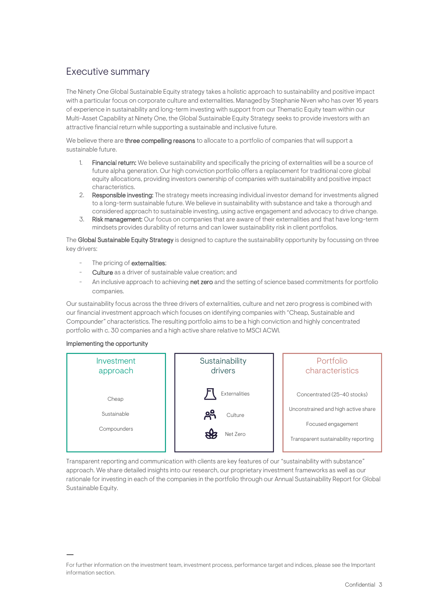## <span id="page-2-0"></span>Executive summary

The Ninety One Global Sustainable Equity strategy takes a holistic approach to sustainability and positive impact with a particular focus on corporate culture and externalities. Managed by Stephanie Niven who has over 16 years of experience in sustainability and long-term investing with support from our Thematic Equity team within our Multi-Asset Capability at Ninety One, the Global Sustainable Equity Strategy seeks to provide investors with an attractive financial return while supporting a sustainable and inclusive future.

We believe there are three compelling reasons to allocate to a portfolio of companies that will support a sustainable future.

- 1. Financial return: We believe sustainability and specifically the pricing of externalities will be a source of future alpha generation. Our high conviction portfolio offers a replacement for traditional core global equity allocations, providing investors ownership of companies with sustainability and positive impact characteristics.
- 2. Responsible investing: The strategy meets increasing individual investor demand for investments aligned to a long-term sustainable future. We believe in sustainability with substance and take a thorough and considered approach to sustainable investing, using active engagement and advocacy to drive change.
- 3. Risk management: Our focus on companies that are aware of their externalities and that have long-term mindsets provides durability of returns and can lower sustainability risk in client portfolios.

The Global Sustainable Equity Strategy is designed to capture the sustainability opportunity by focussing on three key drivers:

- The pricing of externalities;
- Culture as a driver of sustainable value creation; and
- An inclusive approach to achieving net zero and the setting of science based commitments for portfolio companies.

Our sustainability focus across the three drivers of externalities, culture and net zero progress is combined with our financial investment approach which focuses on identifying companies with "Cheap, Sustainable and Compounder" characteristics. The resulting portfolio aims to be a high conviction and highly concentrated portfolio with c. 30 companies and a high active share relative to MSCI ACWI.

#### Implementing the opportunity



Transparent reporting and communication with clients are key features of our "sustainability with substance" approach. We share detailed insights into our research, our proprietary investment frameworks as well as our rationale for investing in each of the companies in the portfolio through our Annual Sustainability Report for Global Sustainable Equity.

For further information on the investment team, investment process, performance target and indices, please see the Important information section.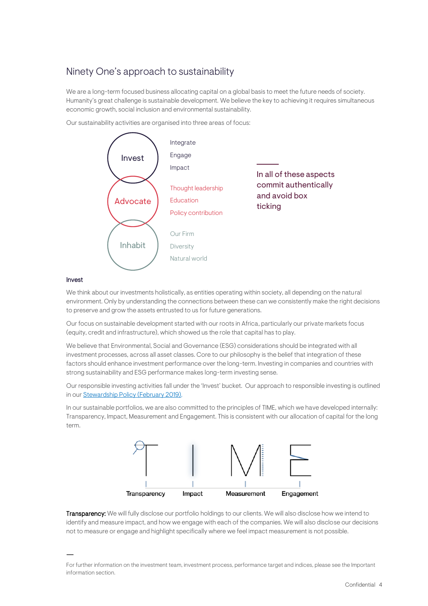## <span id="page-3-0"></span>Ninety One's approach to sustainability

We are a long-term focused business allocating capital on a global basis to meet the future needs of society. Humanity's great challenge is sustainable development. We believe the key to achieving it requires simultaneous economic growth, social inclusion and environmental sustainability.

Our sustainability activities are organised into three areas of focus:



#### Invest

We think about our investments holistically, as entities operating within society, all depending on the natural environment. Only by understanding the connections between these can we consistently make the right decisions to preserve and grow the assets entrusted to us for future generations.

Our focus on sustainable development started with our roots in Africa, particularly our private markets focus (equity, credit and infrastructure), which showed us the role that capital has to play.

We believe that Environmental, Social and Governance (ESG) considerations should be integrated with all investment processes, across all asset classes. Core to our philosophy is the belief that integration of these factors should enhance investment performance over the long-term. Investing in companies and countries with strong sustainability and ESG performance makes long-term investing sense.

Our responsible investing activities fall under the 'Invest' bucket. Our approach to responsible investing is outlined in ou[r Stewardship Policy](https://www.investecassetmanagement.com/united-kingdom/professional-investor/document/pdf/Investec-Stewardship-Policy.pdf) (February 2019).

In our sustainable portfolios, we are also committed to the principles of TIME, which we have developed internally: Transparency, Impact, Measurement and Engagement. This is consistent with our allocation of capital for the long term.



Transparency: We will fully disclose our portfolio holdings to our clients. We will also disclose how we intend to identify and measure impact, and how we engage with each of the companies. We will also disclose our decisions not to measure or engage and highlight specifically where we feel impact measurement is not possible.

For further information on the investment team, investment process, performance target and indices, please see the Important information section.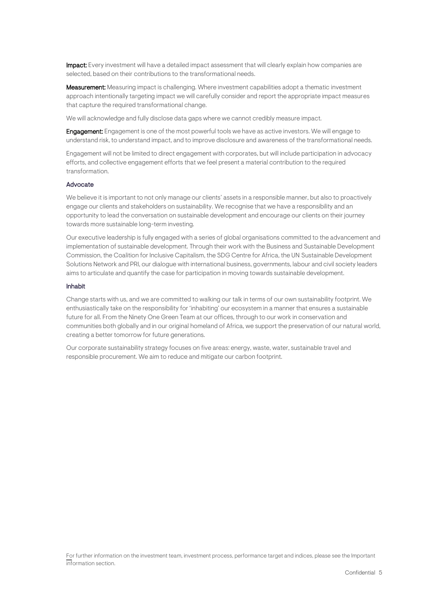Impact: Every investment will have a detailed impact assessment that will clearly explain how companies are selected, based on their contributions to the transformational needs.

Measurement: Measuring impact is challenging. Where investment capabilities adopt a thematic investment approach intentionally targeting impact we will carefully consider and report the appropriate impact measures that capture the required transformational change.

We will acknowledge and fully disclose data gaps where we cannot credibly measure impact.

**Engagement:** Engagement is one of the most powerful tools we have as active investors. We will engage to understand risk, to understand impact, and to improve disclosure and awareness of the transformational needs.

Engagement will not be limited to direct engagement with corporates, but will include participation in advocacy efforts, and collective engagement efforts that we feel present a material contribution to the required transformation.

#### **Advocate**

We believe it is important to not only manage our clients' assets in a responsible manner, but also to proactively engage our clients and stakeholders on sustainability. We recognise that we have a responsibility and an opportunity to lead the conversation on sustainable development and encourage our clients on their journey towards more sustainable long-term investing.

Our executive leadership is fully engaged with a series of global organisations committed to the advancement and implementation of sustainable development. Through their work with the Business and Sustainable Development Commission, the Coalition for Inclusive Capitalism, the SDG Centre for Africa, the UN Sustainable Development Solutions Network and PRI, our dialogue with international business, governments, labour and civil society leaders aims to articulate and quantify the case for participation in moving towards sustainable development.

#### Inhabit

Change starts with us, and we are committed to walking our talk in terms of our own sustainability footprint. We enthusiastically take on the responsibility for 'inhabiting' our ecosystem in a manner that ensures a sustainable future for all. From the Ninety One Green Team at our offices, through to our work in conservation and communities both globally and in our original homeland of Africa, we support the preservation of our natural world, creating a better tomorrow for future generations.

Our corporate sustainability strategy focuses on five areas: energy, waste, water, sustainable travel and responsible procurement. We aim to reduce and mitigate our carbon footprint.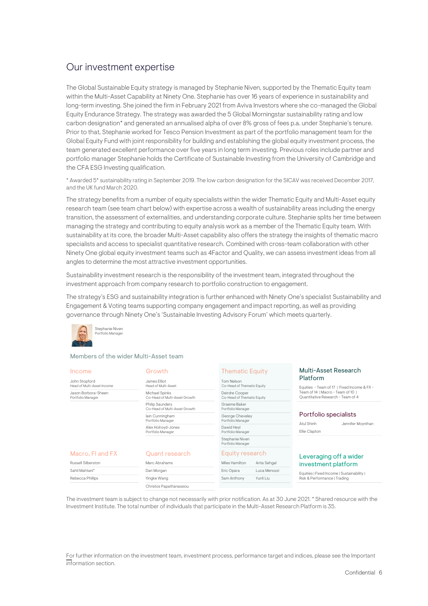## <span id="page-5-0"></span>Our investment expertise

The Global Sustainable Equity strategy is managed by Stephanie Niven, supported by the Thematic Equity team within the Multi-Asset Capability at Ninety One. Stephanie has over 16 years of experience in sustainability and long-term investing. She joined the firm in February 2021 from Aviva Investors where she co-managed the Global Equity Endurance Strategy. The strategy was awarded the 5 Global Morningstar sustainability rating and low carbon designation\* and generated an annualised alpha of over 8% gross of fees p.a. under Stephanie's tenure. Prior to that, Stephanie worked for Tesco Pension Investment as part of the portfolio management team for the Global Equity Fund with joint responsibility for building and establishing the global equity investment process, the team generated excellent performance over five years in long term investing. Previous roles include partner and portfolio manager Stephanie holds the Certificate of Sustainable Investing from the University of Cambridge and the CFA ESG Investing qualification.

\* Awarded 5\* sustainability rating in September 2019. The low carbon designation for the SICAV was received December 2017, and the UK fund March 2020.

The strategy benefits from a number of equity specialists within the wider Thematic Equity and Multi-Asset equity research team (see team chart below) with expertise across a wealth of sustainability areas including the energy transition, the assessment of externalities, and understanding corporate culture. Stephanie splits her time between managing the strategy and contributing to equity analysis work as a member of the Thematic Equity team. With sustainability at its core, the broader Multi-Asset capability also offers the strategy the insights of thematic macro specialists and access to specialist quantitative research. Combined with cross-team collaboration with other Ninety One global equity investment teams such as 4Factor and Quality, we can assess investment ideas from all angles to determine the most attractive investment opportunities.

Sustainability investment research is the responsibility of the investment team, integrated throughout the investment approach from company research to portfolio construction to engagement.

The strategy's ESG and sustainability integration is further enhanced with Ninety One's specialist Sustainability and Engagement & Voting teams supporting company engagement and impact reporting, as well as providing governance through Ninety One's 'Sustainable Investing Advisory Forum' which meets quarterly.



#### Members of the wider Multi-Asset team

| Income<br>John Stopford<br>Head of Multi-Asset Income | Growth<br>James Flliot<br>Head of Multi-Asset    | <b>Thematic Equity</b><br><b>Tom Nelson</b><br>Co-Head of Thematic Equity | Multi-Asset Research<br>Platform<br>Equities - Team of 17   Fixed Income & FX - |
|-------------------------------------------------------|--------------------------------------------------|---------------------------------------------------------------------------|---------------------------------------------------------------------------------|
| Jason Borbora-Sheen<br>Portfolio Manager              | Michael Spinks<br>Co-Head of Multi-Asset Growth  | Deirdre Cooper<br>Co-Head of Thematic Equity                              | Team of 14   Macro - Team of 10  <br>Ouantitative Research - Team of 4          |
|                                                       | Philip Saunders<br>Co-Head of Multi-Asset Growth | Graeme Baker<br>Portfolio Manager                                         |                                                                                 |
|                                                       | lain Cunningham<br>Portfolio Manager             | George Cheveley<br>Portfolio Manager                                      | Portfolio specialists<br>Atul Shinh<br>Jennifer Moynihan                        |
|                                                       | Alex Holroyd-Jones<br>Portfolio Manager          | Dawid Hevl<br>Portfolio Manager                                           | Ellie Clapton                                                                   |
|                                                       |                                                  | Stephanie Niven<br>Portfolio Manager                                      |                                                                                 |
| Macro, FI and FX                                      | <b>Ouant research</b>                            | Equity research                                                           | Leveraging off a wider                                                          |
| Russell Silberston                                    | Marc Abrahams                                    | Miles Hamilton<br>Arita Sehqal                                            | investment platform                                                             |
| Sahil Mahtani*                                        | Dan Morgan                                       | Eric Opara<br>Luca Menozzi                                                | Equities   Fixed Income   Sustainability                                        |
| Rebecca Phillips                                      | Yingke Wang                                      | Yunli Liu<br>Sam Anthony                                                  | Risk & Performance   Trading                                                    |
|                                                       | Christos Papathanassiou                          |                                                                           |                                                                                 |

The investment team is subject to change not necessarily with prior notification. As at 30 June 2021. \* Shared resource with the Investment Institute. The total number of individuals that participate in the Multi-Asset Research Platform is 35.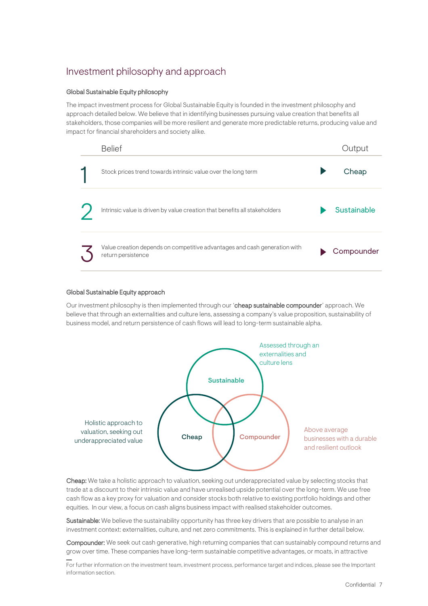## <span id="page-6-0"></span>Investment philosophy and approach

#### Global Sustainable Equity philosophy

The impact investment process for Global Sustainable Equity is founded in the investment philosophy and approach detailed below. We believe that in identifying businesses pursuing value creation that benefits all stakeholders, those companies will be more resilient and generate more predictable returns, producing value and impact for financial shareholders and society alike.

| <b>Belief</b>                                                                                   | Output      |
|-------------------------------------------------------------------------------------------------|-------------|
| Stock prices trend towards intrinsic value over the long term                                   | Cheap       |
| Intrinsic value is driven by value creation that benefits all stakeholders                      | Sustainable |
| Value creation depends on competitive advantages and cash generation with<br>return persistence | Compounder  |

#### Global Sustainable Equity approach

Our investment philosophy is then implemented through our 'cheap sustainable compounder' approach. We believe that through an externalities and culture lens, assessing a company's value proposition, sustainability of business model, and return persistence of cash flows will lead to long-term sustainable alpha.



Cheap: We take a holistic approach to valuation, seeking out underappreciated value by selecting stocks that trade at a discount to their intrinsic value and have unrealised upside potential over the long-term. We use free cash flow as a key proxy for valuation and consider stocks both relative to existing portfolio holdings and other equities. In our view, a focus on cash aligns business impact with realised stakeholder outcomes.

Sustainable: We believe the sustainability opportunity has three key drivers that are possible to analyse in an investment context: externalities, culture, and net zero commitments. This is explained in further detail below.

Compounder: We seek out cash generative, high returning companies that can sustainably compound returns and grow over time. These companies have long-term sustainable competitive advantages, or moats, in attractive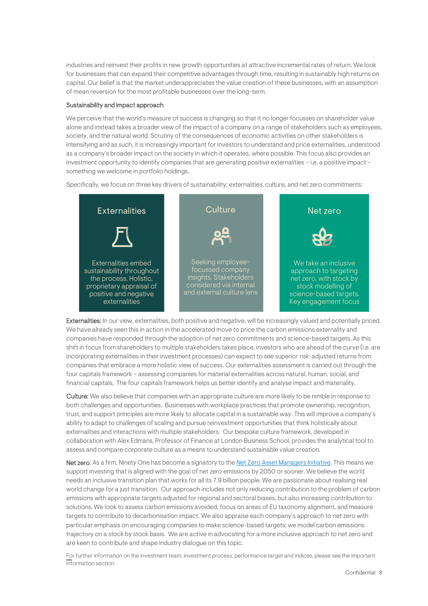industries and reinvest their profits in new growth opportunities at attractive incremental rates of return. We look for businesses that can expand their competitive advantages through time, resulting in sustainably high returns on capital. Our belief is that the market underappreciates the value creation of these businesses, with an assumption of mean reversion for the most profitable businesses over the long-term.

#### Sustainability and impact approach

We perceive that the world's measure of success is changing so that it no longer focusses on shareholder value alone and instead takes a broader view of the impact of a company on a range of stakeholders such as employees, society, and the natural world. Scrutiny of the consequences of economic activities on other stakeholders is intensifying and as such, it is increasingly important for investors to understand and price externalities, understood as a company's broader impact on the society in which it operates, where possible. This focus also provides an investment opportunity to identify companies that are generating positive externalities – i.e. a positive impact – something we welcome in portfolio holdings.

Specifically, we focus on three key drivers of sustainability: externalities, culture, and net zero commitments:



Externalities: In our view, externalities, both positive and negative, will be increasingly valued and potentially priced. We have already seen this in action in the accelerated move to price the carbon emissions externality and companies have responded through the adoption of net zero commitments and science-based targets. As this shift in focus from shareholders to multiple stakeholders takes place, investors who are ahead of the curve (i.e. are incorporating externalities in their investment processes) can expect to see superior risk-adjusted returns from companies that embrace a more holistic view of success. Our externalities assessment is carried out through the four capitals framework – assessing companies for material externalities across natural, human, social, and financial capitals. The four capitals framework helps us better identify and analyse impact and materiality.

Culture: We also believe that companies with an appropriate culture are more likely to be nimble in response to both challenges and opportunities. Businesses with workplace practices that promote ownership, recognition, trust, and support principles are more likely to allocate capital in a sustainable way. This will improve a company's ability to adapt to challenges of scaling and pursue reinvestment opportunities that think holistically about externalities and interactions with multiple stakeholders. Our bespoke culture framework, developed in collaboration with Alex Edmans, Professor of Finance at London Business School, provides the analytical tool to assess and compare corporate culture as a means to understand sustainable value creation.

Net zero: As a firm, Ninety One has become a signatory to th[e Net Zero Asset Managers Initiative.](https://www.netzeroassetmanagers.org/) This means we support investing that is aligned with the goal of net zero emissions by 2050 or sooner. We believe the world needs an inclusive transition plan that works for all its 7.9 billion people. We are passionate about realising real world change for a just transition. Our approach includes not only reducing contribution to the problem of carbon emissions with appropriate targets adjusted for regional and sectoral biases, but also increasing contribution to solutions. We look to assess carbon emissions avoided, focus on areas of EU taxonomy alignment, and measure targets to contribute to decarbonisation impact. We also appraise each company's approach to net zero with particular emphasis on encouraging companies to make science-based targets; we model carbon emissions trajectory on a stock by stock basis. We are active in advocating for a more inclusive approach to net zero and are keen to contribute and shape industry dialogue on this topic.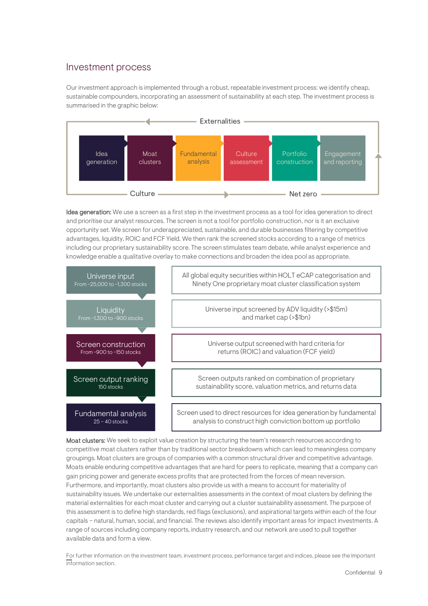### <span id="page-8-0"></span>Investment process

Our investment approach is implemented through a robust, repeatable investment process: we identify cheap, sustainable compounders, incorporating an assessment of sustainability at each step. The investment process is summarised in the graphic below:



Idea generation: We use a screen as a first step in the investment process as a tool for idea generation to direct and prioritise our analyst resources. The screen is not a tool for portfolio construction, nor is it an exclusive opportunity set. We screen for underappreciated, sustainable, and durable businesses filtering by competitive advantages, liquidity, ROIC and FCF Yield. We then rank the screened stocks according to a range of metrics including our proprietary sustainability score. The screen stimulates team debate, while analyst experience and knowledge enable a qualitative overlay to make connections and broaden the idea pool as appropriate.



Moat clusters: We seek to exploit value creation by structuring the team's research resources according to competitive moat clusters rather than by traditional sector breakdowns which can lead to meaningless company groupings. Moat clusters are groups of companies with a common structural driver and competitive advantage. Moats enable enduring competitive advantages that are hard for peers to replicate, meaning that a company can gain pricing power and generate excess profits that are protected from the forces of mean reversion. Furthermore, and importantly, moat clusters also provide us with a means to account for materiality of sustainability issues. We undertake our externalities assessments in the context of moat clusters by defining the material externalities for each moat cluster and carrying out a cluster sustainability assessment. The purpose of this assessment is to define high standards, red flags (exclusions), and aspirational targets within each of the four capitals – natural, human, social, and financial. The reviews also identify important areas for impact investments. A range of sources including company reports, industry research, and our network are used to pull together available data and form a view.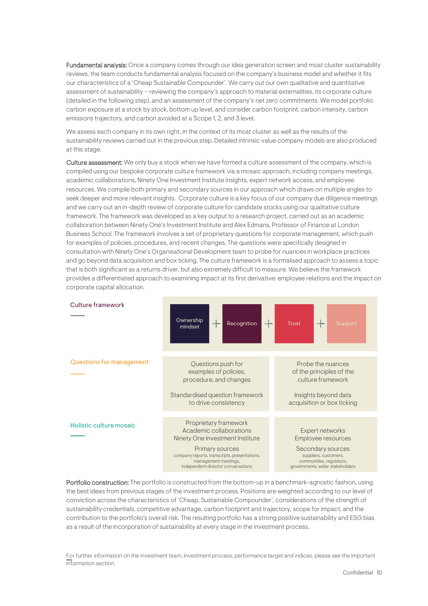Fundamental analysis: Once a company comes through our idea generation screen and moat cluster sustainability reviews, the team conducts fundamental analysis focused on the company's business model and whether it fits our characteristics of a 'Cheap Sustainable Compounder'. We carry out our own qualitative and quantitative assessment of sustainability – reviewing the company's approach to material externalities, its corporate culture (detailed in the following step), and an assessment of the company's net zero commitments. We model portfolio carbon exposure at a stock by stock, bottom up level, and consider carbon footprint, carbon intensity, carbon emissions trajectory, and carbon avoided at a Scope 1, 2, and 3 level.

We assess each company in its own right, in the context of its moat cluster as well as the results of the sustainability reviews carried out in the previous step. Detailed intrinsic value company models are also produced at this stage.

Culture assessment: We only buy a stock when we have formed a culture assessment of the company, which is compiled using our bespoke corporate culture framework via a mosaic approach, including company meetings, academic collaborations, Ninety One Investment Institute insights, expert network access, and employee resources. We compile both primary and secondary sources in our approach which draws on multiple angles to seek deeper and more relevant insights. Corporate culture is a key focus of our company due diligence meetings and we carry out an in-depth review of corporate culture for candidate stocks using our qualitative culture framework. The framework was developed as a key output to a research project, carried out as an academic collaboration between Ninety One's Investment Institute and Alex Edmans, Professor of Finance at London Business School. The framework involves a set of proprietary questions for corporate management, which push for examples of policies, procedures, and recent changes. The questions were specifically designed in consultation with Ninety One's Organisational Development team to probe for nuances in workplace practices and go beyond data acquisition and box ticking. The culture framework is a formalised approach to assess a topic that is both significant as a returns driver, but also extremely difficult to measure. We believe the framework provides a differentiated approach to examining impact at its first derivative: employee relations and the impact on corporate capital allocation.



Portfolio construction: The portfolio is constructed from the bottom-up in a benchmark-agnostic fashion, using the best ideas from previous stages of the investment process. Positions are weighted according to our level of conviction across the characteristics of 'Cheap, Sustainable Compounder', considerations of the strength of sustainability credentials, competitive advantage, carbon footprint and trajectory, scope for impact, and the contribution to the portfolio's overall risk. The resulting portfolio has a strong positive sustainability and ESG bias as a result of the incorporation of sustainability at every stage in the investment process.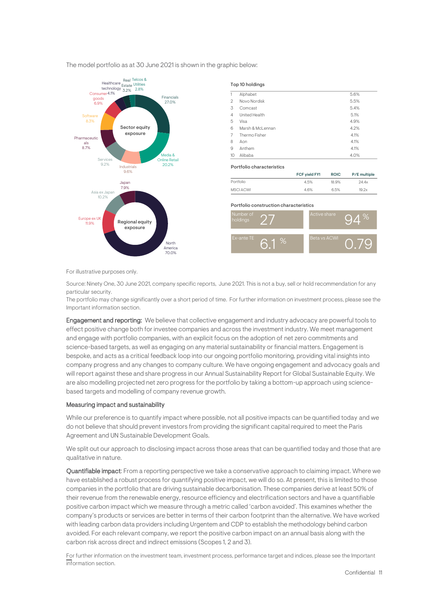

The model portfolio as at 30 June 2021 is shown in the graphic below:<br>

For illustrative purposes only.

Source: Ninety One, 30 June 2021, company specific reports, June 2021. This is not a buy, sell or hold recommendation for any particular security.

The portfolio may change significantly over a short period of time. For further information on investment process, please see the Important information section.

Engagement and reporting: We believe that collective engagement and industry advocacy are powerful tools to effect positive change both for investee companies and across the investment industry. We meet management and engage with portfolio companies, with an explicit focus on the adoption of net zero commitments and science-based targets, as well as engaging on any material sustainability or financial matters. Engagement is bespoke, and acts as a critical feedback loop into our ongoing portfolio monitoring, providing vital insights into company progress and any changes to company culture. We have ongoing engagement and advocacy goals and will report against these and share progress in our Annual Sustainability Report for Global Sustainable Equity. We are also modelling projected net zero progress for the portfolio by taking a bottom-up approach using sciencebased targets and modelling of company revenue growth.

#### Measuring impact and sustainability

While our preference is to quantify impact where possible, not all positive impacts can be quantified today and we do not believe that should prevent investors from providing the significant capital required to meet the Paris Agreement and UN Sustainable Development Goals.

We split out our approach to disclosing impact across those areas that can be quantified today and those that are qualitative in nature.

Quantifiable impact: From a reporting perspective we take a conservative approach to claiming impact. Where we have established a robust process for quantifying positive impact, we will do so. At present, this is limited to those companies in the portfolio that are driving sustainable decarbonisation. These companies derive at least 50% of their revenue from the renewable energy, resource efficiency and electrification sectors and have a quantifiable positive carbon impact which we measure through a metric called 'carbon avoided'. This examines whether the company's products or services are better in terms of their carbon footprint than the alternative. We have worked with leading carbon data providers including Urgentem and CDP to establish the methodology behind carbon avoided. For each relevant company, we report the positive carbon impact on an annual basis along with the carbon risk across direct and indirect emissions (Scopes 1, 2 and 3).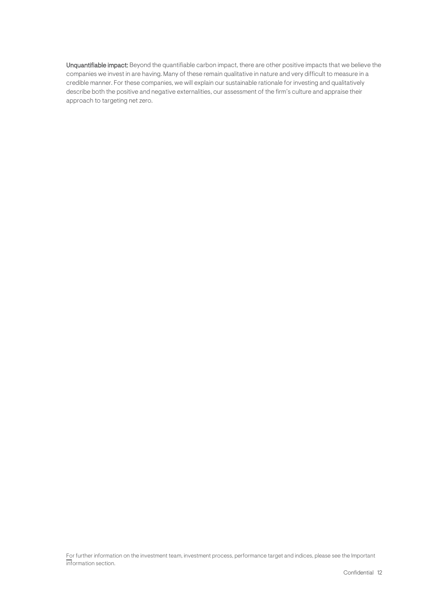Unquantifiable impact: Beyond the quantifiable carbon impact, there are other positive impacts that we believe the companies we invest in are having. Many of these remain qualitative in nature and very difficult to measure in a credible manner. For these companies, we will explain our sustainable rationale for investing and qualitatively describe both the positive and negative externalities, our assessment of the firm's culture and appraise their approach to targeting net zero.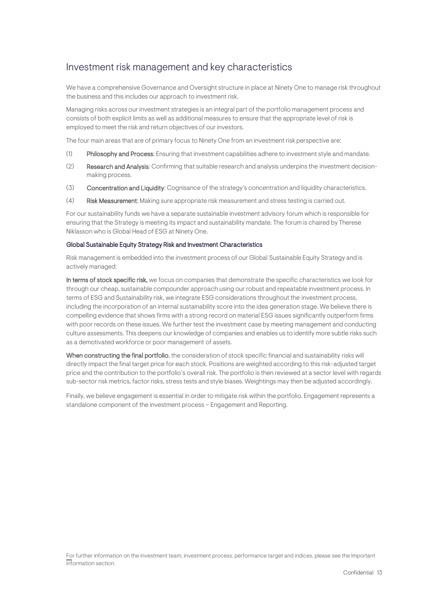## <span id="page-12-0"></span>Investment risk management and key characteristics

We have a comprehensive Governance and Oversight structure in place at Ninety One to manage risk throughout the business and this includes our approach to investment risk.

Managing risks across our investment strategies is an integral part of the portfolio management process and consists of both explicit limits as well as additional measures to ensure that the appropriate level of risk is employed to meet the risk and return objectives of our investors.

The four main areas that are of primary focus to Ninety One from an investment risk perspective are:

- (1) Philosophy and Process: Ensuring that investment capabilities adhere to investment style and mandate.
- (2) Research and Analysis: Confirming that suitable research and analysis underpins the investment decisionmaking process.
- (3) Concentration and Liquidity: Cognisance of the strategy's concentration and liquidity characteristics.
- (4) Risk Measurement: Making sure appropriate risk measurement and stress testing is carried out.

For our sustainability funds we have a separate sustainable investment advisory forum which is responsible for ensuring that the Strategy is meeting its impact and sustainability mandate. The forum is chaired by Therese Niklasson who is Global Head of ESG at Ninety One.

#### Global Sustainable Equity Strategy Risk and Investment Characteristics

Risk management is embedded into the investment process of our Global Sustainable Equity Strategy and is actively managed:

In terms of stock specific risk, we focus on companies that demonstrate the specific characteristics we look for through our cheap, sustainable compounder approach using our robust and repeatable investment process. In terms of ESG and Sustainability risk, we integrate ESG considerations throughout the investment process, including the incorporation of an internal sustainability score into the idea generation stage. We believe there is compelling evidence that shows firms with a strong record on material ESG issues significantly outperform firms with poor records on these issues. We further test the investment case by meeting management and conducting culture assessments. This deepens our knowledge of companies and enables us to identify more subtle risks such as a demotivated workforce or poor management of assets.

When constructing the final portfolio, the consideration of stock specific financial and sustainability risks will directly impact the final target price for each stock. Positions are weighted according to this risk-adjusted target price and the contribution to the portfolio's overall risk. The portfolio is then reviewed at a sector level with regards sub-sector risk metrics, factor risks, stress tests and style biases. Weightings may then be adjusted accordingly.

Finally, we believe engagement is essential in order to mitigate risk within the portfolio. Engagement represents a standalone component of the investment process – Engagement and Reporting.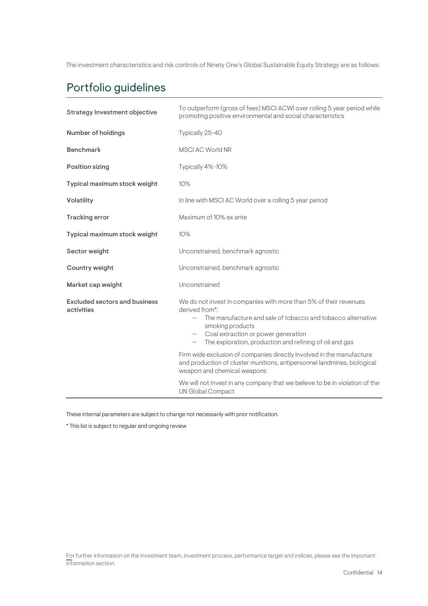The investment characteristics and risk controls of Ninety One's Global Sustainable Equity Strategy are as follows:

## Portfolio guidelines

| Strategy Investment objective                      | To outperform (gross of fees) MSCI ACWI over rolling 5 year period while<br>promoting positive environmental and social characteristics                                                                                                                                           |  |
|----------------------------------------------------|-----------------------------------------------------------------------------------------------------------------------------------------------------------------------------------------------------------------------------------------------------------------------------------|--|
| <b>Number of holdings</b>                          | Typically 25-40                                                                                                                                                                                                                                                                   |  |
| <b>Benchmark</b>                                   | <b>MSCI AC World NR</b>                                                                                                                                                                                                                                                           |  |
| <b>Position sizing</b>                             | Typically 4%-10%                                                                                                                                                                                                                                                                  |  |
| Typical maximum stock weight                       | 10%                                                                                                                                                                                                                                                                               |  |
| Volatility                                         | In line with MSCI AC World over a rolling 5 year period                                                                                                                                                                                                                           |  |
| <b>Tracking error</b>                              | Maximum of 10% ex ante                                                                                                                                                                                                                                                            |  |
| Typical maximum stock weight                       | 10%                                                                                                                                                                                                                                                                               |  |
| Sector weight                                      | Unconstrained, benchmark agnostic                                                                                                                                                                                                                                                 |  |
| Country weight                                     | Unconstrained, benchmark agnostic                                                                                                                                                                                                                                                 |  |
| Market cap weight                                  | Unconstrained                                                                                                                                                                                                                                                                     |  |
| <b>Excluded sectors and business</b><br>activities | We do not invest in companies with more than 5% of their revenues<br>derived from*:<br>The manufacture and sale of tobacco and tobacco alternative<br>smoking products<br>- Coal extraction or power generation<br>The exploration, production and refining of oil and gas<br>$-$ |  |
|                                                    | Firm wide exclusion of companies directly involved in the manufacture<br>and production of cluster munitions, antipersonnel landmines, biological<br>weapon and chemical weapons                                                                                                  |  |
|                                                    | We will not invest in any company that we believe to be in violation of the<br><b>UN Global Compact</b>                                                                                                                                                                           |  |

These internal parameters are subject to change not necessarily with prior notification.

\* This list is subject to regular and ongoing review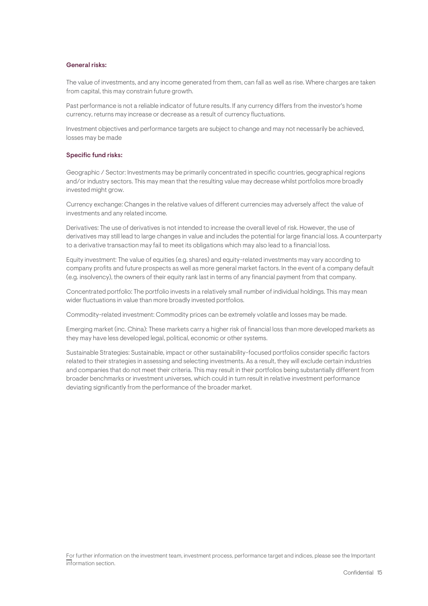#### General risks:

The value of investments, and any income generated from them, can fall as well as rise. Where charges are taken from capital, this may constrain future growth.

Past performance is not a reliable indicator of future results. If any currency differs from the investor's home currency, returns may increase or decrease as a result of currency fluctuations.

Investment objectives and performance targets are subject to change and may not necessarily be achieved, losses may be made

#### Specific fund risks:

Geographic / Sector: Investments may be primarily concentrated in specific countries, geographical regions and/or industry sectors. This may mean that the resulting value may decrease whilst portfolios more broadly invested might grow.

Currency exchange: Changes in the relative values of different currencies may adversely affect the value of investments and any related income.

Derivatives: The use of derivatives is not intended to increase the overall level of risk. However, the use of derivatives may still lead to large changes in value and includes the potential for large financial loss. A counterparty to a derivative transaction may fail to meet its obligations which may also lead to a financial loss.

Equity investment: The value of equities (e.g. shares) and equity-related investments may vary according to company profits and future prospects as well as more general market factors. In the event of a company default (e.g. insolvency), the owners of their equity rank last in terms of any financial payment from that company.

Concentrated portfolio: The portfolio invests in a relatively small number of individual holdings. This may mean wider fluctuations in value than more broadly invested portfolios.

Commodity-related investment: Commodity prices can be extremely volatile and losses may be made.

Emerging market (inc. China): These markets carry a higher risk of financial loss than more developed markets as they may have less developed legal, political, economic or other systems.

Sustainable Strategies: Sustainable, impact or other sustainability-focused portfolios consider specific factors related to their strategies in assessing and selecting investments. As a result, they will exclude certain industries and companies that do not meet their criteria. This may result in their portfolios being substantially different from broader benchmarks or investment universes, which could in turn result in relative investment performance deviating significantly from the performance of the broader market.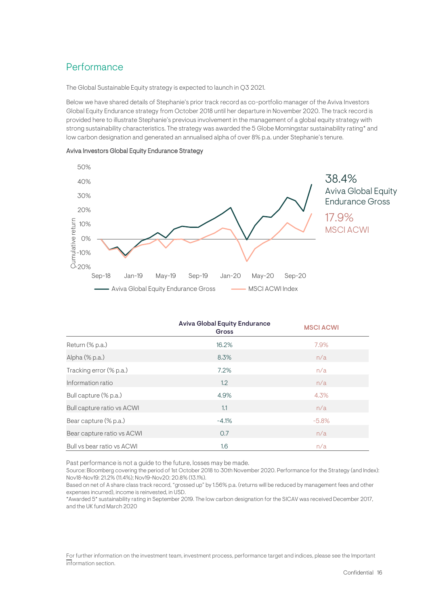## <span id="page-15-0"></span>Performance

The Global Sustainable Equity strategy is expected to launch in Q3 2021.

Below we have shared details of Stephanie's prior track record as co-portfolio manager of the Aviva Investors Global Equity Endurance strategy from October 2018 until her departure in November 2020. The track record is provided here to illustrate Stephanie's previous involvement in the management of a global equity strategy with strong sustainability characteristics. The strategy was awarded the 5 Globe Morningstar sustainability rating\* and low carbon designation and generated an annualised alpha of over 8% p.a. under Stephanie's tenure.



| Aviva Investors Global Equity Endurance Strategy |  |  |  |
|--------------------------------------------------|--|--|--|
|--------------------------------------------------|--|--|--|

|                            | <b>Aviva Global Equity Endurance</b><br>Gross | <b>MSCI ACWI</b> |
|----------------------------|-----------------------------------------------|------------------|
| Return (% p.a.)            | 16.2%                                         | 7.9%             |
| Alpha (% p.a.)             | 8.3%                                          | n/a              |
| Tracking error (% p.a.)    | 7.2%                                          | n/a              |
| Information ratio          | 1.2                                           | n/a              |
| Bull capture (% p.a.)      | 4.9%                                          | 4.3%             |
| Bull capture ratio vs ACWI | 1.1                                           | n/a              |
| Bear capture (% p.a.)      | $-4.1%$                                       | $-5.8%$          |
| Bear capture ratio vs ACWI | 0.7                                           | n/a              |
| Bull vs bear ratio vs ACWI | 1.6                                           | n/a              |

Past performance is not a guide to the future, losses may be made.

Source: Bloomberg covering the period of 1st October 2018 to 30th November 2020. Performance for the Strategy (and Index): Nov18-Nov19: 21.2% (11.4%); Nov19-Nov20: 20.8% (13.1%).

Based on net of A share class track record, "grossed up" by 1.56% p.a. (returns will be reduced by management fees and other expenses incurred), income is reinvested, in USD.

\*Awarded 5\* sustainability rating in September 2019. The low carbon designation for the SICAV was received December 2017, and the UK fund March 2020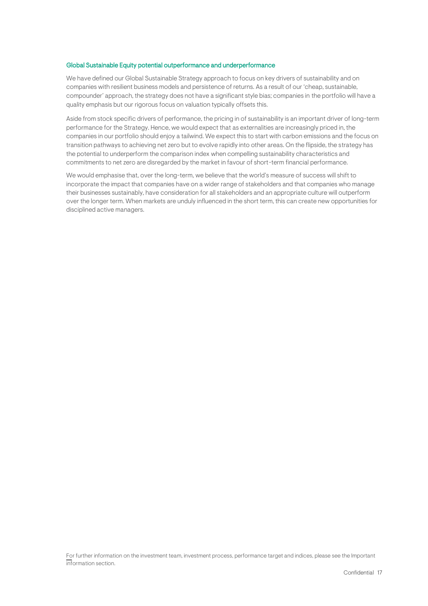#### Global Sustainable Equity potential outperformance and underperformance

We have defined our Global Sustainable Strategy approach to focus on key drivers of sustainability and on companies with resilient business models and persistence of returns. As a result of our 'cheap, sustainable, compounder' approach, the strategy does not have a significant style bias; companies in the portfolio will have a quality emphasis but our rigorous focus on valuation typically offsets this.

Aside from stock specific drivers of performance, the pricing in of sustainability is an important driver of long-term performance for the Strategy. Hence, we would expect that as externalities are increasingly priced in, the companies in our portfolio should enjoy a tailwind. We expect this to start with carbon emissions and the focus on transition pathways to achieving net zero but to evolve rapidly into other areas. On the flipside, the strategy has the potential to underperform the comparison index when compelling sustainability characteristics and commitments to net zero are disregarded by the market in favour of short-term financial performance.

We would emphasise that, over the long-term, we believe that the world's measure of success will shift to incorporate the impact that companies have on a wider range of stakeholders and that companies who manage their businesses sustainably, have consideration for all stakeholders and an appropriate culture will outperform over the longer term. When markets are unduly influenced in the short term, this can create new opportunities for disciplined active managers.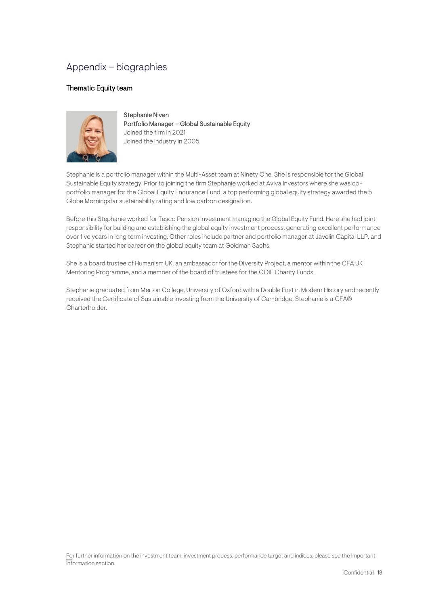## <span id="page-17-0"></span>Appendix – biographies

#### Thematic Equity team



Stephanie Niven Portfolio Manager – Global Sustainable Equity Joined the firm in 2021 Joined the industry in 2005

Stephanie is a portfolio manager within the Multi-Asset team at Ninety One. She is responsible for the Global Sustainable Equity strategy. Prior to joining the firm Stephanie worked at Aviva Investors where she was coportfolio manager for the Global Equity Endurance Fund, a top performing global equity strategy awarded the 5 Globe Morningstar sustainability rating and low carbon designation.

Before this Stephanie worked for Tesco Pension Investment managing the Global Equity Fund. Here she had joint responsibility for building and establishing the global equity investment process, generating excellent performance over five years in long term investing. Other roles include partner and portfolio manager at Javelin Capital LLP, and Stephanie started her career on the global equity team at Goldman Sachs.

She is a board trustee of Humanism UK, an ambassador for the Diversity Project, a mentor within the CFA UK Mentoring Programme, and a member of the board of trustees for the COIF Charity Funds.

Stephanie graduated from Merton College, University of Oxford with a Double First in Modern History and recently received the Certificate of Sustainable Investing from the University of Cambridge. Stephanie is a CFA® Charterholder.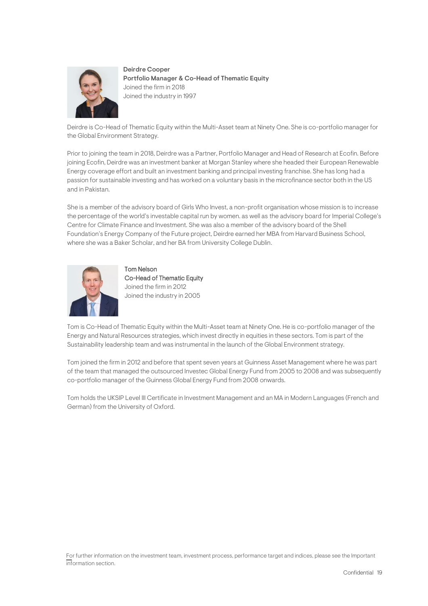

Deirdre Cooper Portfolio Manager & Co-Head of Thematic Equity Joined the firm in 2018 Joined the industry in 1997

Deirdre is Co-Head of Thematic Equity within the Multi-Asset team at Ninety One. She is co-portfolio manager for the Global Environment Strategy.

Prior to joining the team in 2018, Deirdre was a Partner, Portfolio Manager and Head of Research at Ecofin. Before joining Ecofin, Deirdre was an investment banker at Morgan Stanley where she headed their European Renewable Energy coverage effort and built an investment banking and principal investing franchise. She has long had a passion for sustainable investing and has worked on a voluntary basis in the microfinance sector both in the US and in Pakistan.

She is a member of the advisory board of Girls Who Invest, a non-profit organisation whose mission is to increase the percentage of the world's investable capital run by women. as well as the advisory board for Imperial College's Centre for Climate Finance and Investment. She was also a member of the advisory board of the Shell Foundation's Energy Company of the Future project, Deirdre earned her MBA from Harvard Business School, where she was a Baker Scholar, and her BA from University College Dublin.



Tom Nelson Co-Head of Thematic Equity Joined the firm in 2012 Joined the industry in 2005

Tom is Co-Head of Thematic Equity within the Multi-Asset team at Ninety One. He is co-portfolio manager of the Energy and Natural Resources strategies, which invest directly in equities in these sectors. Tom is part of the Sustainability leadership team and was instrumental in the launch of the Global Environment strategy.

Tom joined the firm in 2012 and before that spent seven years at Guinness Asset Management where he was part of the team that managed the outsourced Investec Global Energy Fund from 2005 to 2008 and was subsequently co-portfolio manager of the Guinness Global Energy Fund from 2008 onwards.

Tom holds the UKSIP Level III Certificate in Investment Management and an MA in Modern Languages (French and German) from the University of Oxford.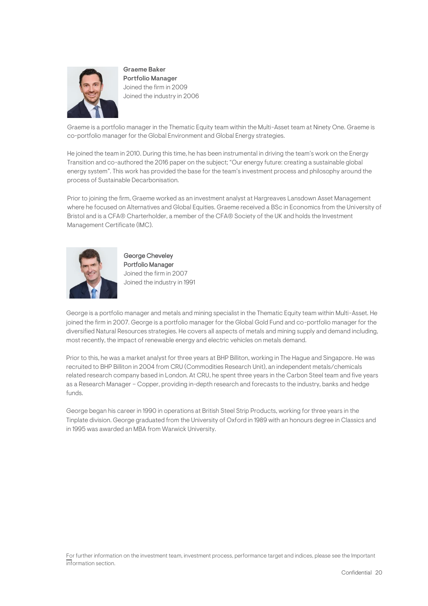

Graeme Baker Portfolio Manager Joined the firm in 2009 Joined the industry in 2006

Graeme is a portfolio manager in the Thematic Equity team within the Multi-Asset team at Ninety One. Graeme is co-portfolio manager for the Global Environment and Global Energy strategies.

He joined the team in 2010. During this time, he has been instrumental in driving the team's work on the Energy Transition and co-authored the 2016 paper on the subject; "Our energy future: creating a sustainable global energy system". This work has provided the base for the team's investment process and philosophy around the process of Sustainable Decarbonisation.

Prior to joining the firm, Graeme worked as an investment analyst at Hargreaves Lansdown Asset Management where he focused on Alternatives and Global Equities. Graeme received a BSc in Economics from the University of Bristol and is a CFA® Charterholder, a member of the CFA® Society of the UK and holds the Investment Management Certificate (IMC).



George Cheveley Portfolio Manager Joined the firm in 2007 Joined the industry in 1991

George is a portfolio manager and metals and mining specialist in the Thematic Equity team within Multi-Asset. He joined the firm in 2007. George is a portfolio manager for the Global Gold Fund and co-portfolio manager for the diversified Natural Resources strategies. He covers all aspects of metals and mining supply and demand including, most recently, the impact of renewable energy and electric vehicles on metals demand.

Prior to this, he was a market analyst for three years at BHP Billiton, working in The Hague and Singapore. He was recruited to BHP Billiton in 2004 from CRU (Commodities Research Unit), an independent metals/chemicals related research company based in London. At CRU, he spent three years in the Carbon Steel team and five years as a Research Manager – Copper, providing in-depth research and forecasts to the industry, banks and hedge funds.

George began his career in 1990 in operations at British Steel Strip Products, working for three years in the Tinplate division. George graduated from the University of Oxford in 1989 with an honours degree in Classics and in 1995 was awarded an MBA from Warwick University.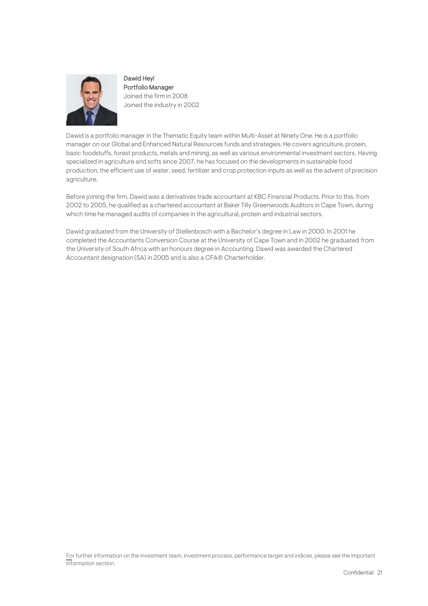

Dawid Heyl Portfolio Manager Joined the firm in 2008 Joined the industry in 2002

Dawid is a portfolio manager in the Thematic Equity team within Multi-Asset at Ninety One. He is a portfolio manager on our Global and Enhanced Natural Resources funds and strategies. He covers agriculture, protein, basic foodstuffs, forest products, metals and mining, as well as various environmental investment sectors. Having specialized in agriculture and softs since 2007, he has focused on the developments in sustainable food production, the efficient use of water, seed, fertilizer and crop protection inputs as well as the advent of precision agriculture.

Before joining the firm, Dawid was a derivatives trade accountant at KBC Financial Products. Prior to this, from 2002 to 2005, he qualified as a chartered accountant at Baker Tilly Greenwoods Auditors in Cape Town, during which time he managed audits of companies in the agricultural, protein and industrial sectors.

Dawid graduated from the University of Stellenbosch with a Bachelor's degree in Law in 2000. In 2001 he completed the Accountants Conversion Course at the University of Cape Town and in 2002 he graduated from the University of South Africa with an honours degree in Accounting. Dawid was awarded the Chartered Accountant designation (SA) in 2005 and is also a CFA® Charterholder.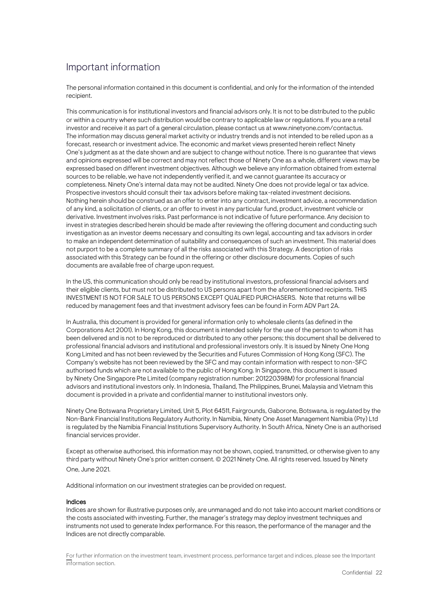## <span id="page-21-0"></span>Important information

The personal information contained in this document is confidential, and only for the information of the intended recipient.

This communication is for institutional investors and financial advisors only. It is not to be distributed to the public or within a country where such distribution would be contrary to applicable law or regulations. If you are a retail investor and receive it as part of a general circulation, please contact us at www.ninetyone.com/contactus. The information may discuss general market activity or industry trends and is not intended to be relied upon as a forecast, research or investment advice. The economic and market views presented herein reflect Ninety One's judgment as at the date shown and are subject to change without notice. There is no guarantee that views and opinions expressed will be correct and may not reflect those of Ninety One as a whole, different views may be expressed based on different investment objectives. Although we believe any information obtained from external sources to be reliable, we have not independently verified it, and we cannot guarantee its accuracy or completeness. Ninety One's internal data may not be audited. Ninety One does not provide legal or tax advice. Prospective investors should consult their tax advisors before making tax-related investment decisions. Nothing herein should be construed as an offer to enter into any contract, investment advice, a recommendation of any kind, a solicitation of clients, or an offer to invest in any particular fund, product, investment vehicle or derivative. Investment involves risks. Past performance is not indicative of future performance. Any decision to invest in strategies described herein should be made after reviewing the offering document and conducting such investigation as an investor deems necessary and consulting its own legal, accounting and tax advisors in order to make an independent determination of suitability and consequences of such an investment. This material does not purport to be a complete summary of all the risks associated with this Strategy. A description of risks associated with this Strategy can be found in the offering or other disclosure documents. Copies of such documents are available free of charge upon request.

In the US, this communication should only be read by institutional investors, professional financial advisers and their eligible clients, but must not be distributed to US persons apart from the aforementioned recipients. THIS INVESTMENT IS NOT FOR SALE TO US PERSONS EXCEPT QUALIFIED PURCHASERS. Note that returns will be reduced by management fees and that investment advisory fees can be found in Form ADV Part 2A.

In Australia, this document is provided for general information only to wholesale clients (as defined in the Corporations Act 2001). In Hong Kong, this document is intended solely for the use of the person to whom it has been delivered and is not to be reproduced or distributed to any other persons; this document shall be delivered to professional financial advisors and institutional and professional investors only. It is issued by Ninety One Hong Kong Limited and has not been reviewed by the Securities and Futures Commission of Hong Kong (SFC). The Company's website has not been reviewed by the SFC and may contain information with respect to non-SFC authorised funds which are not available to the public of Hong Kong. In Singapore, this document is issued by Ninety One Singapore Pte Limited (company registration number: 201220398M) for professional financial advisors and institutional investors only. In Indonesia, Thailand, The Philippines, Brunei, Malaysia and Vietnam this document is provided in a private and confidential manner to institutional investors only.

Ninety One Botswana Proprietary Limited, Unit 5, Plot 64511, Fairgrounds, Gaborone, Botswana, is regulated by the Non-Bank Financial Institutions Regulatory Authority. In Namibia, Ninety One Asset Management Namibia (Pty) Ltd is regulated by the Namibia Financial Institutions Supervisory Authority. In South Africa, Ninety One is an authorised financial services provider.

Except as otherwise authorised, this information may not be shown, copied, transmitted, or otherwise given to any third party without Ninety One's prior written consent. © 2021 Ninety One. All rights reserved. Issued by Ninety One, June 2021.

Additional information on our investment strategies can be provided on request.

#### Indices

Indices are shown for illustrative purposes only, are unmanaged and do not take into account market conditions or the costs associated with investing. Further, the manager's strategy may deploy investment techniques and instruments not used to generate Index performance. For this reason, the performance of the manager and the Indices are not directly comparable.